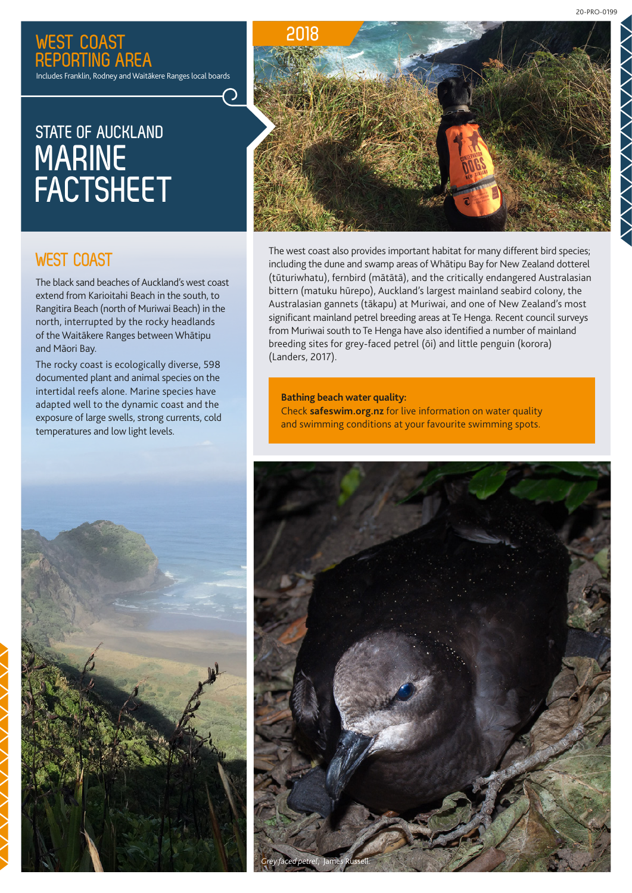20-PRO-0199

### **WEST COAST REPORTING AREA**

Includes Franklin, Rodney and Waitākere Ranges local boards

# **STATE OF AUCKLAND MARINE FACTSHEET**



### **WEST COAST**

The black sand beaches of Auckland's west coast extend from Karioitahi Beach in the south, to Rangitira Beach (north of Muriwai Beach) in the north, interrupted by the rocky headlands of the Waitākere Ranges between Whātipu and Māori Bay.

The rocky coast is ecologically diverse, 598 documented plant and animal species on the intertidal reefs alone. Marine species have adapted well to the dynamic coast and the exposure of large swells, strong currents, cold temperatures and low light levels.

The west coast also provides important habitat for many different bird species; including the dune and swamp areas of Whātipu Bay for New Zealand dotterel (tūturiwhatu), fernbird (mātātā), and the critically endangered Australasian bittern (matuku hūrepo), Auckland's largest mainland seabird colony, the Australasian gannets (tākapu) at Muriwai, and one of New Zealand's most significant mainland petrel breeding areas at Te Henga. Recent council surveys from Muriwai south to Te Henga have also identified a number of mainland breeding sites for grey-faced petrel (ōi) and little penguin (korora) (Landers, 2017).

#### **Bathing beach water quality:** Check **[safeswim.org.nz](http://safeswim.org.nz)** for live information on water quality and swimming conditions at your favourite swimming spots.